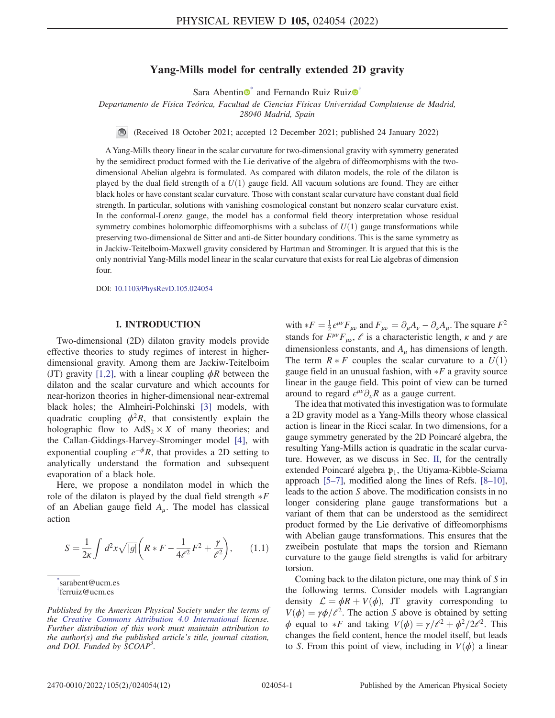# Yang-Mills model for centrally extended 2D gravity

Sara Abentin  $\bullet$  and Fernando Ruiz Ruiz $\bullet$ <sup>[†](#page-0-1)</sup>

<span id="page-0-2"></span>Departamento de Física Teórica, Facultad de Ciencias Físicas Universidad Complutense de Madrid, 28040 Madrid, Spain

(Received 18 October 2021; accepted 12 December 2021; published 24 January 2022)

A Yang-Mills theory linear in the scalar curvature for two-dimensional gravity with symmetry generated by the semidirect product formed with the Lie derivative of the algebra of diffeomorphisms with the twodimensional Abelian algebra is formulated. As compared with dilaton models, the role of the dilaton is played by the dual field strength of a  $U(1)$  gauge field. All vacuum solutions are found. They are either black holes or have constant scalar curvature. Those with constant scalar curvature have constant dual field strength. In particular, solutions with vanishing cosmological constant but nonzero scalar curvature exist. In the conformal-Lorenz gauge, the model has a conformal field theory interpretation whose residual symmetry combines holomorphic diffeomorphisms with a subclass of  $U(1)$  gauge transformations while preserving two-dimensional de Sitter and anti-de Sitter boundary conditions. This is the same symmetry as in Jackiw-Teitelboim-Maxwell gravity considered by Hartman and Strominger. It is argued that this is the only nontrivial Yang-Mills model linear in the scalar curvature that exists for real Lie algebras of dimension four.

DOI: [10.1103/PhysRevD.105.024054](https://doi.org/10.1103/PhysRevD.105.024054)

### I. INTRODUCTION

Two-dimensional (2D) dilaton gravity models provide effective theories to study regimes of interest in higherdimensional gravity. Among them are Jackiw-Teitelboim (JT) gravity [[1](#page-11-0),[2](#page-11-1)], with a linear coupling  $\phi R$  between the dilaton and the scalar curvature and which accounts for near-horizon theories in higher-dimensional near-extremal black holes; the Almheiri-Polchinski [[3](#page-11-2)] models, with quadratic coupling  $\phi^2 R$ , that consistently explain the holographic flow to  $AdS_2 \times X$  of many theories; and the Callan-Giddings-Harvey-Strominger model [\[4](#page-11-3)], with exponential coupling  $e^{-\phi}R$ , that provides a 2D setting to analytically understand the formation and subsequent evaporation of a black hole.

<span id="page-0-3"></span>Here, we propose a nondilaton model in which the role of the dilaton is played by the dual field strength  $*F$ <br>of an Abelian gauge field A. The model has classical of an Abelian gauge field  $A_{\mu}$ . The model has classical action

$$
S = \frac{1}{2\kappa} \int d^2x \sqrt{|g|} \left( R \ast F - \frac{1}{4\ell^2} F^2 + \frac{\gamma}{\ell^2} \right), \qquad (1.1)
$$

<span id="page-0-1"></span><span id="page-0-0"></span>[\\*](#page-0-2) sarabent@ucm.es [†](#page-0-2) ferruiz@ucm.es

with  $*F = \frac{1}{2} \epsilon^{\mu\nu} F_{\mu\nu}$  and  $F_{\mu\nu} = \partial_{\mu} A_{\nu} - \partial_{\nu} A_{\mu}$ . The square  $F^2$ <br>stands for  $F^{\mu\nu} F_{\mu\nu}$   $\neq$  is a characteristic length  $\kappa$  and  $\kappa$  are stands for  $F^{\mu\nu}F_{\mu\nu}$ ,  $\ell$  is a characteristic length,  $\kappa$  and  $\gamma$  are dimensionless constants, and  $A<sub>u</sub>$  has dimensions of length. The term  $R * F$  couples the scalar curvature to a  $U(1)$  gauge field in an unusual fashion with  $*F$  a gravity source gauge field in an unusual fashion, with  $*F$  a gravity source<br>linear in the gauge field. This point of view can be turned linear in the gauge field. This point of view can be turned around to regard  $\epsilon^{\mu\nu}\partial_{\nu}R$  as a gauge current.

The idea that motivated this investigation was to formulate a 2D gravity model as a Yang-Mills theory whose classical action is linear in the Ricci scalar. In two dimensions, for a gauge symmetry generated by the 2D Poincaré algebra, the resulting Yang-Mills action is quadratic in the scalar curvature. However, as we discuss in Sec. [II,](#page-1-0) for the centrally extended Poincaré algebra  $\mathfrak{p}_1$ , the Utiyama-Kibble-Sciama approach [[5](#page-11-4)–[7](#page-11-5)], modified along the lines of Refs. [\[8](#page-11-6)–[10](#page-11-7)], leads to the action S above. The modification consists in no longer considering plane gauge transformations but a variant of them that can be understood as the semidirect product formed by the Lie derivative of diffeomorphisms with Abelian gauge transformations. This ensures that the zweibein postulate that maps the torsion and Riemann curvature to the gauge field strengths is valid for arbitrary torsion.

Coming back to the dilaton picture, one may think of S in the following terms. Consider models with Lagrangian density  $\mathcal{L} = \phi R + V(\phi)$ , JT gravity corresponding to  $V(\phi) = \gamma \phi / \ell^2$ . The action S above is obtained by setting  $\phi$  equal to \**F* and taking  $V(\phi) = \gamma/\ell^2 + \phi^2/2\ell^2$ . This changes the field content hence the model itself but leads changes the field content, hence the model itself, but leads to S. From this point of view, including in  $V(\phi)$  a linear

Published by the American Physical Society under the terms of the [Creative Commons Attribution 4.0 International](https://creativecommons.org/licenses/by/4.0/) license. Further distribution of this work must maintain attribution to the author(s) and the published article's title, journal citation, and DOI. Funded by SCOAP<sup>3</sup>.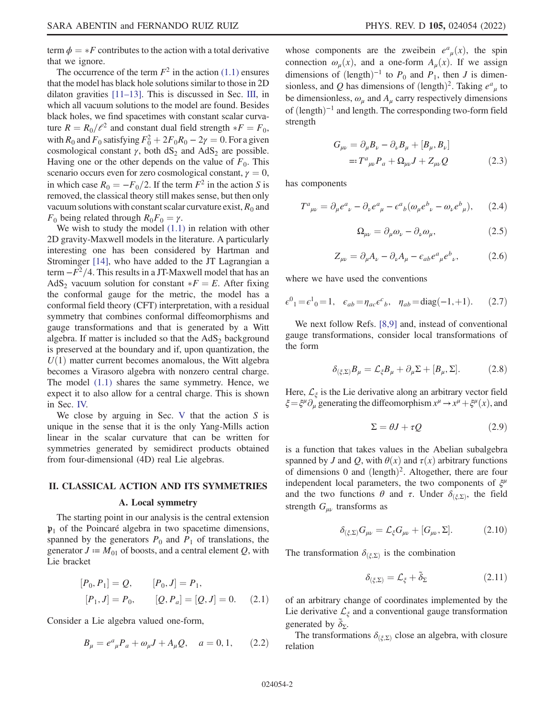term  $\phi = *F$  contributes to the action with a total derivative<br>that we ignore that we ignore.

The occurrence of the term  $F^2$  in the action [\(1.1\)](#page-0-3) ensures that the model has black hole solutions similar to those in 2D dilaton gravities [[11](#page-11-8)–[13\]](#page-11-9). This is discussed in Sec. [III](#page-3-0), in which all vacuum solutions to the model are found. Besides black holes, we find spacetimes with constant scalar curvature  $R = R_0/e^2$  and constant dual field strength  $*F = F_0$ ,<br>with  $R_0$  and  $F_0$  satisfying  $F^2 + 2F_0R_0 = 2y = 0$ . For a given with  $R_0$  and  $F_0$  satisfying  $F_0^2 + 2F_0R_0 - 2\gamma = 0$ . For a given<br>cosmological constant  $\gamma$  both dS, and AdS, are possible cosmological constant  $\gamma$ , both  $dS_2$  and  $AdS_2$  are possible. Having one or the other depends on the value of  $F_0$ . This scenario occurs even for zero cosmological constant,  $\gamma = 0$ , in which case  $R_0 = -F_0/2$ . If the term  $F^2$  in the action S is removed, the classical theory still makes sense, but then only vacuum solutions with constant scalar curvature exist,  $R_0$  and  $F_0$  being related through  $R_0F_0 = \gamma$ .

We wish to study the model  $(1.1)$  in relation with other 2D gravity-Maxwell models in the literature. A particularly interesting one has been considered by Hartman and Strominger [[14](#page-11-10)], who have added to the JT Lagrangian a term  $-F^2/4$ . This results in a JT-Maxwell model that has an AdS<sub>2</sub> vacuum solution for constant  $*F = E$ . After fixing the conformal gauge for the metric the model has a the conformal gauge for the metric, the model has a conformal field theory (CFT) interpretation, with a residual symmetry that combines conformal diffeomorphisms and gauge transformations and that is generated by a Witt algebra. If matter is included so that the  $AdS_2$  background is preserved at the boundary and if, upon quantization, the  $U(1)$  matter current becomes anomalous, the Witt algebra becomes a Virasoro algebra with nonzero central charge. The model [\(1.1\)](#page-0-3) shares the same symmetry. Hence, we expect it to also allow for a central charge. This is shown in Sec. [IV.](#page-6-0)

We close by arguing in Sec. [V](#page-9-0) that the action  $S$  is unique in the sense that it is the only Yang-Mills action linear in the scalar curvature that can be written for symmetries generated by semidirect products obtained from four-dimensional (4D) real Lie algebras.

#### <span id="page-1-0"></span>II. CLASSICAL ACTION AND ITS SYMMETRIES

### A. Local symmetry

<span id="page-1-4"></span>The starting point in our analysis is the central extension  $\mathfrak{p}_1$  of the Poincaré algebra in two spacetime dimensions, spanned by the generators  $P_0$  and  $P_1$  of translations, the generator  $J = M_{01}$  of boosts, and a central element Q, with Lie bracket

$$
[P_0, P_1] = Q, \t [P_0, J] = P_1,
$$
  

$$
[P_1, J] = P_0, \t [Q, P_a] = [Q, J] = 0.
$$
 (2.1)

Consider a Lie algebra valued one-form,

$$
B_{\mu} = e^{a}{}_{\mu}P_{a} + \omega_{\mu}J + A_{\mu}Q, \quad a = 0, 1, \qquad (2.2)
$$

whose components are the zweibein  $e^a_{\mu}(x)$ , the spin connection  $e^{(\mu)}(x)$  and a one-form  $A(x)$ . If we assign connection  $\omega_u(x)$ , and a one-form  $A_u(x)$ . If we assign dimensions of  $(\text{length})^{-1}$  to  $P_0$  and  $P_1$ , then J is dimensionless, and Q has dimensions of  $(\text{length})^2$ . Taking  $e^a_{\mu}$  to be dimensionless  $a_1$  and A carry respectively dimensions be dimensionless,  $\omega_{\mu}$  and  $A_{\mu}$  carry respectively dimensions of  $(length)^{-1}$  and length. The corresponding two-form field strength

$$
G_{\mu\nu} = \partial_{\mu}B_{\nu} - \partial_{\nu}B_{\mu} + [B_{\mu}, B_{\nu}]
$$
  
=:  $T^{a}{}_{\mu\nu}P_{a} + \Omega_{\mu\nu}J + Z_{\mu\nu}Q$  (2.3)

<span id="page-1-2"></span>has components

<span id="page-1-3"></span>
$$
T^{a}{}_{\mu\nu} = \partial_{\mu}e^{a}{}_{\nu} - \partial_{\nu}e^{a}{}_{\mu} - \epsilon^{a}{}_{b}(\omega_{\mu}e^{b}{}_{\nu} - \omega_{\nu}e^{b}{}_{\mu}), \qquad (2.4)
$$

$$
\Omega_{\mu\nu} = \partial_{\mu}\omega_{\nu} - \partial_{\nu}\omega_{\mu},\tag{2.5}
$$

$$
Z_{\mu\nu} = \partial_{\mu}A_{\nu} - \partial_{\nu}A_{\mu} - \epsilon_{ab}e^{a}{}_{\mu}e^{b}{}_{\nu},\tag{2.6}
$$

where we have used the conventions

$$
\epsilon^0{}_1 = \epsilon^1{}_0 = 1
$$
,  $\epsilon_{ab} = \eta_{ac} \epsilon^c{}_b$ ,  $\eta_{ab} = \text{diag}(-1, +1)$ . (2.7)

We next follow Refs. [[8,](#page-11-6)[9\]](#page-11-11) and, instead of conventional gauge transformations, consider local transformations of the form

$$
\delta_{(\xi,\Sigma)}B_{\mu} = \mathcal{L}_{\xi}B_{\mu} + \partial_{\mu}\Sigma + [B_{\mu},\Sigma].
$$
 (2.8)

Here,  $\mathcal{L}_{\xi}$  is the Lie derivative along an arbitrary vector field  $\xi = \xi^{\mu} \partial_{\mu}$  generating the diffeomorphism  $x^{\mu} \rightarrow x^{\mu} + \xi^{\mu}(x)$ , and

$$
\Sigma = \theta J + \tau Q \tag{2.9}
$$

is a function that takes values in the Abelian subalgebra spanned by J and Q, with  $\theta(x)$  and  $\tau(x)$  arbitrary functions of dimensions 0 and  $(\text{length})^2$ . Altogether, there are four independent local parameters, the two components of  $\xi^{\mu}$ and the two functions  $\theta$  and  $\tau$ . Under  $\delta_{(\xi,\Sigma)}$ , the field strength  $G_{\mu\nu}$  transforms as

$$
\delta_{(\xi,\Sigma)} G_{\mu\nu} = \mathcal{L}_{\xi} G_{\mu\nu} + [G_{\mu\nu}, \Sigma]. \tag{2.10}
$$

The transformation  $\delta_{(\xi,\Sigma)}$  is the combination

$$
\delta_{(\xi,\Sigma)} = \mathcal{L}_{\xi} + \tilde{\delta}_{\Sigma} \tag{2.11}
$$

<span id="page-1-1"></span>of an arbitrary change of coordinates implemented by the Lie derivative  $\mathcal{L}_{\xi}$  and a conventional gauge transformation generated by  $\tilde{\delta}_{\Sigma}$ .

The transformations  $\delta_{(\xi,\Sigma)}$  close an algebra, with closure relation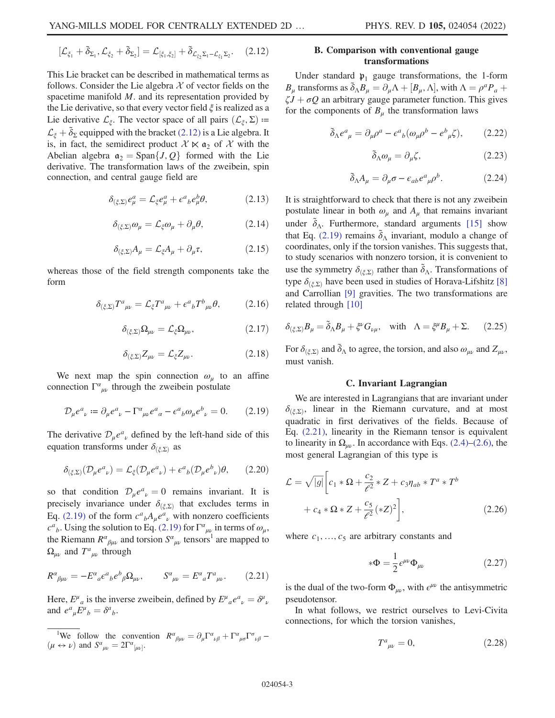$$
[\mathcal{L}_{\xi_1} + \tilde{\delta}_{\Sigma_1}, \mathcal{L}_{\xi_2} + \tilde{\delta}_{\Sigma_2}] = \mathcal{L}_{[\xi_1, \xi_2]} + \tilde{\delta}_{\mathcal{L}_{\xi_2} \Sigma_1 - \mathcal{L}_{\xi_1} \Sigma_2}.
$$
 (2.12)

This Lie bracket can be described in mathematical terms as follows. Consider the Lie algebra  $X$  of vector fields on the spacetime manifold M. and its representation provided by the Lie derivative, so that every vector field  $\xi$  is realized as a Lie derivative  $\mathcal{L}_{\xi}$ . The vector space of all pairs  $(\mathcal{L}_{\xi}, \Sigma)$  =  $\mathcal{L}_{\xi} + \tilde{\delta}_{\Sigma}$  equipped with the bracket [\(2.12\)](#page-1-1) is a Lie algebra. It is, in fact, the semidirect product  $X \ltimes \mathfrak{a}_2$  of X with the Abelian algebra  $\mathfrak{a}_2 = \text{Span}\{J, Q\}$  formed with the Lie derivative. The transformation laws of the zweibein, spin connection, and central gauge field are

<span id="page-2-2"></span>
$$
\delta_{(\xi,\Sigma)}e^a_\mu = \mathcal{L}_\xi e^a_\mu + \epsilon^a{}_b e^b_\mu \theta,\tag{2.13}
$$

$$
\delta_{(\xi,\Sigma)}\omega_{\mu} = \mathcal{L}_{\xi}\omega_{\mu} + \partial_{\mu}\theta, \tag{2.14}
$$

$$
\delta_{(\xi,\Sigma)}A_{\mu} = \mathcal{L}_{\xi}A_{\mu} + \partial_{\mu}\tau, \qquad (2.15)
$$

<span id="page-2-4"></span><span id="page-2-3"></span>whereas those of the field strength components take the form

$$
\delta_{(\xi,\Sigma)} T^a{}_{\mu\nu} = \mathcal{L}_{\xi} T^a{}_{\mu\nu} + \epsilon^a{}_b T^b{}_{\mu\nu} \theta,\tag{2.16}
$$

$$
\delta_{(\xi,\Sigma)}\Omega_{\mu\nu} = \mathcal{L}_{\xi}\Omega_{\mu\nu},\tag{2.17}
$$

$$
\delta_{(\xi,\Sigma)}Z_{\mu\nu} = \mathcal{L}_{\xi}Z_{\mu\nu}.\tag{2.18}
$$

<span id="page-2-0"></span>We next map the spin connection  $\omega_u$  to an affine connection  $\Gamma^{\alpha}{}_{\mu\nu}$  through the zweibein postulate

$$
\mathcal{D}_{\mu}e^{a}{}_{\nu} := \partial_{\mu}e^{a}{}_{\nu} - \Gamma^{a}{}_{\mu\nu}e^{a}{}_{\alpha} - \epsilon^{a}{}_{b}\omega_{\mu}e^{b}{}_{\nu} = 0. \tag{2.19}
$$

The derivative  $\mathcal{D}_{\mu}e^{a}{}_{\nu}$  defined by the left-hand side of this equation transforms under  $\delta_{(\xi,\Sigma)}$  as

$$
\delta_{(\xi,\Sigma)}(\mathcal{D}_{\mu}e^{a}{}_{\nu})=\mathcal{L}_{\xi}(\mathcal{D}_{\mu}e^{a}{}_{\nu})+\epsilon^{a}{}_{b}(\mathcal{D}_{\mu}e^{b}{}_{\nu})\theta,\qquad(2.20)
$$

so that condition  $\mathcal{D}_{\mu}e^a{}_{\nu}=0$  remains invariant. It is<br>precisely invariance under  $\delta_{\mu}$ , that excludes terms in precisely invariance under  $\delta_{(\xi,\Sigma)}$  that excludes terms in Eq. [\(2.19\)](#page-2-0) of the form  $c^a{}_b A_\mu e^a{}_\nu$  with nonzero coefficients  $c^a{}_b$ . Using the solution to Eq. [\(2.19\)](#page-2-0) for  $\Gamma^a{}_{\mu\nu}$  in terms of  $\omega_\mu$ , the Riemann  $R^{\alpha}{}_{\beta\mu\nu}$  and torsion  $S^{\alpha}{}_{\mu\nu}$  tensors<sup>1</sup> are mapped to  $\Omega_{\mu\nu}$  and  $T^a{}_{\mu\nu}$  through

<span id="page-2-1"></span>
$$
R^{\alpha}{}_{\beta\mu\nu} = -E^{\alpha}{}_{a}\epsilon^a{}_{b}\epsilon^b{}_{\beta}\Omega_{\mu\nu}, \qquad S^{\alpha}{}_{\mu\nu} = E^{\alpha}{}_{a}T^a{}_{\mu\nu}.\tag{2.21}
$$

Here,  $E^{\mu}{}_{a}$  is the inverse zweibein, defined by  $E^{\mu}{}_{a}e^{a}{}_{\nu} = \delta^{\mu}{}_{\nu}$ <br>and  $e^{a}{}_{F}^{\mu}$ ,  $-\delta^{a}$ . and  $e^a{}_\mu E^\mu{}_b = \delta^a{}_b.$ 

### B. Comparison with conventional gauge transformations

Under standard  $\mathfrak{p}_1$  gauge transformations, the 1-form  $B_{\mu}$  transforms as  $\tilde{\delta}_{\Lambda}B_{\mu} = \partial_{\mu}\Lambda + [B_{\mu}, \Lambda]$ , with  $\Lambda = \rho^{a}P_{a} + \ell I + \sigma Q$  an arbitrary gauge parameter function. This gives  $\zeta J + \sigma Q$  an arbitrary gauge parameter function. This gives for the components of  $B_u$  the transformation laws

$$
\tilde{\delta}_{\Lambda} e^{a}_{\ \mu} = \partial_{\mu} \rho^{a} - \epsilon^{a}_{\ b} (\omega_{\mu} \rho^{b} - e^{b}_{\ \mu} \zeta), \tag{2.22}
$$

$$
\tilde{\delta}_{\Lambda}\omega_{\mu} = \partial_{\mu}\zeta,\tag{2.23}
$$

$$
\tilde{\delta}_{\Lambda} A_{\mu} = \partial_{\mu} \sigma - \epsilon_{ab} e^{a}{}_{\mu} \rho^{b}.
$$
 (2.24)

It is straightforward to check that there is not any zweibein postulate linear in both  $\omega_u$  and  $A_u$  that remains invariant under  $\tilde{\delta}_{\Lambda}$ . Furthermore, standard arguments [\[15\]](#page-11-12) show that Eq. [\(2.19\)](#page-2-0) remains  $\tilde{\delta}_{\Lambda}$  invariant, modulo a change of coordinates, only if the torsion vanishes. This suggests that, to study scenarios with nonzero torsion, it is convenient to use the symmetry  $\delta_{(\xi,\Sigma)}$  rather than  $\tilde{\delta}_{\Lambda}$ . Transformations of type  $\delta_{(\xi,\Sigma)}$  have been used in studies of Horava-Lifshitz [\[8\]](#page-11-6) and Carrollian [[9\]](#page-11-11) gravities. The two transformations are related through [\[10\]](#page-11-7)

$$
\delta_{(\xi,\Sigma)}B_{\mu} = \tilde{\delta}_{\Lambda}B_{\mu} + \xi^{\nu}G_{\nu\mu}, \text{ with } \Lambda = \xi^{\mu}B_{\mu} + \Sigma. \qquad (2.25)
$$

For  $\delta_{(\xi,\Sigma)}$  and  $\tilde{\delta}_{\Lambda}$  to agree, the torsion, and also  $\omega_{\mu\nu}$  and  $Z_{\mu\nu}$ , must vanish.

### C. Invariant Lagrangian

We are interested in Lagrangians that are invariant under  $\delta_{(\xi,\Sigma)}$ , linear in the Riemann curvature, and at most quadratic in first derivatives of the fields. Because of Eq. [\(2.21\),](#page-2-1) linearity in the Riemann tensor is equivalent to linearity in  $\Omega_{\mu\nu}$ . In accordance with Eqs. [\(2.4\)](#page-1-2)–[\(2.6\)](#page-1-3), the most general Lagrangian of this type is

$$
\mathcal{L} = \sqrt{|g|} \Big[ c_1 * \Omega + \frac{c_2}{\ell^2} * Z + c_3 \eta_{ab} * T^a * T^b + c_4 * \Omega * Z + \frac{c_5}{\ell^2} (*Z)^2 \Big],
$$
\n(2.26)

where  $c_1, ..., c_5$  are arbitrary constants and

$$
*\Phi = \frac{1}{2} \epsilon^{\mu\nu} \Phi_{\mu\nu} \tag{2.27}
$$

is the dual of the two-form  $\Phi_{\mu\nu}$ , with  $\epsilon^{\mu\nu}$  the antisymmetric pseudotensor.

In what follows, we restrict ourselves to Levi-Civita connections, for which the torsion vanishes,

$$
T^a{}_{\mu\nu} = 0, \tag{2.28}
$$

<sup>&</sup>lt;sup>1</sup>We follow the convention  $R^{\alpha}{}_{\beta\mu\nu} = \partial_{\mu}\Gamma^{\alpha}{}_{\nu\beta} + \Gamma^{\alpha}{}_{\mu\sigma}\Gamma^{\sigma}{}_{\nu\beta} - \nabla^{\beta}{}_{\lambda\nu}$  and  $S^{\alpha}{}_{\nu\mu} = 2\Gamma^{\alpha}{}_{\nu\mu}$ .  $(\mu \leftrightarrow \nu)$  and  $S^{\alpha}{}_{\mu\nu} = 2\Gamma^{\alpha}{}_{[\mu\nu]}$ .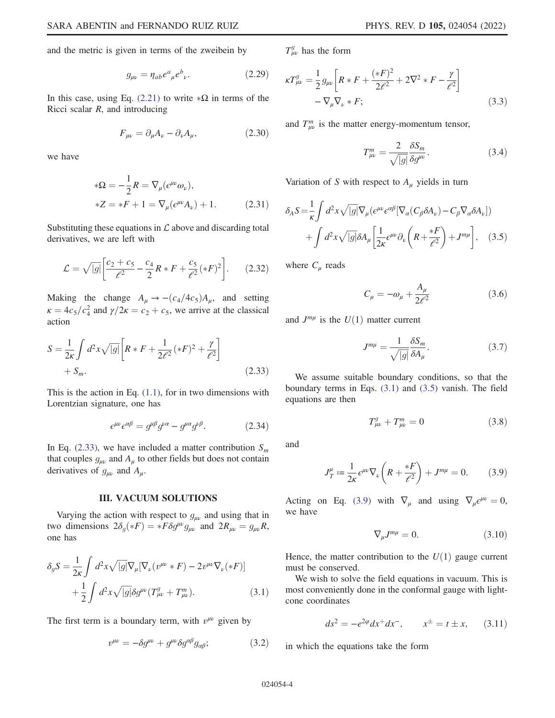and the metric is given in terms of the zweibein by

$$
g_{\mu\nu} = \eta_{ab} e^a{}_{\mu} e^b{}_{\nu}. \tag{2.29}
$$

In this case, using Eq. [\(2.21\)](#page-2-1) to write  $*\Omega$  in terms of the Ricci scalar R and introducing Ricci scalar  $R$ , and introducing

$$
F_{\mu\nu} = \partial_{\mu}A_{\nu} - \partial_{\nu}A_{\mu},\tag{2.30}
$$

we have

$$
*\Omega = -\frac{1}{2}R = \nabla_{\mu}(e^{\mu\nu}\omega_{\nu}),
$$
  

$$
*Z = *F + 1 = \nabla_{\mu}(e^{\mu\nu}A_{\nu}) + 1.
$$
 (2.31)

Substituting these equations in  $\mathcal L$  above and discarding total derivatives, we are left with

$$
\mathcal{L} = \sqrt{|g|} \left[ \frac{c_2 + c_5}{\ell^2} - \frac{c_4}{2} R * F + \frac{c_5}{\ell^2} ( *F )^2 \right].
$$
 (2.32)

<span id="page-3-1"></span>Making the change  $A_{\mu} \rightarrow -(c_4/4c_5)A_{\mu}$ , and setting  $\kappa = 4c_5/c_4^2$  and  $\gamma/2\kappa = c_2 + c_5$ , we arrive at the classical action action

$$
S = \frac{1}{2\kappa} \int d^2 x \sqrt{|g|} \left[ R * F + \frac{1}{2\ell^2} ( *F )^2 + \frac{\gamma}{\ell^2} \right] + S_m.
$$
 (2.33)

<span id="page-3-10"></span>This is the action in Eq.  $(1.1)$ , for in two dimensions with Lorentzian signature, one has

$$
\epsilon^{\mu\nu}\epsilon^{\alpha\beta} = g^{\mu\beta}g^{\nu\alpha} - g^{\mu\alpha}g^{\nu\beta}.
$$
 (2.34)

In Eq. [\(2.33\)](#page-3-1), we have included a matter contribution  $S_m$ that couples  $g_{\mu\nu}$  and  $A_{\mu}$  to other fields but does not contain derivatives of  $g_{\mu\nu}$  and  $A_{\mu}$ .

### III. VACUUM SOLUTIONS

<span id="page-3-2"></span><span id="page-3-0"></span>Varying the action with respect to  $g_{\mu\nu}$  and using that in two dimensions  $2\delta_g(*F) = *F\delta g^{\mu\nu}g_{\mu\nu}$  and  $2R_{\mu\nu} = g_{\mu\nu}R$ , one has

$$
\delta_g S = \frac{1}{2\kappa} \int d^2 x \sqrt{|g|} \nabla_\mu [\nabla_\nu (v^{\mu\nu} * F) - 2v^{\mu\nu} \nabla_\nu (*F)]
$$
  
 
$$
+ \frac{1}{2} \int d^2 x \sqrt{|g|} \delta g^{\mu\nu} (T^g_{\mu\nu} + T^m_{\mu\nu}). \tag{3.1}
$$

The first term is a boundary term, with  $v^{\mu\nu}$  given by

$$
v^{\mu\nu} = -\delta g^{\mu\nu} + g^{\mu\nu} \delta g^{\alpha\beta} g_{\alpha\beta};
$$
 (3.2)

<span id="page-3-9"></span> $T_{\mu\nu}^{g}$  has the form

$$
\kappa T_{\mu\nu}^{g} = \frac{1}{2} g_{\mu\nu} \left[ R * F + \frac{(*F)^{2}}{2\ell^{2}} + 2\nabla^{2} * F - \frac{\gamma}{\ell^{2}} \right] - \nabla_{\mu} \nabla_{\nu} * F; \tag{3.3}
$$

and  $T_{\mu\nu}^{m}$  is the matter energy-momentum tensor,

$$
T_{\mu\nu}^{m} = \frac{2}{\sqrt{|g|}} \frac{\delta S_m}{\delta g^{\mu\nu}}.
$$
\n(3.4)

<span id="page-3-3"></span>Variation of S with respect to  $A_\mu$  yields in turn

$$
\delta_A S = \frac{1}{\kappa} \int d^2 x \sqrt{|g|} \nabla_\mu (e^{\mu\nu} e^{\alpha\beta} [\nabla_\alpha (C_\beta \delta A_\nu) - C_\beta \nabla_\alpha \delta A_\nu]) + \int d^2 x \sqrt{|g|} \delta A_\mu \left[ \frac{1}{2\kappa} e^{\mu\nu} \partial_\nu \left( R + \frac{*F}{\ell^2} \right) + J^{m\mu} \right], \quad (3.5)
$$

<span id="page-3-6"></span>where  $C_{\mu}$  reads

$$
C_{\mu} = -\omega_{\mu} + \frac{A_{\mu}}{2\ell^2} \tag{3.6}
$$

and  $J^{m\mu}$  is the  $U(1)$  matter current

$$
J^{m\mu} = \frac{1}{\sqrt{|g|}} \frac{\delta S_m}{\delta A_\mu}.
$$
 (3.7)

<span id="page-3-7"></span>We assume suitable boundary conditions, so that the boundary terms in Eqs. [\(3.1\)](#page-3-2) and [\(3.5\)](#page-3-3) vanish. The field equations are then

$$
T_{\mu\nu}^{g} + T_{\mu\nu}^{m} = 0 \tag{3.8}
$$

<span id="page-3-4"></span>and

$$
J_T^{\mu} := \frac{1}{2\kappa} \epsilon^{\mu\nu} \nabla_{\nu} \left( R + \frac{*F}{\ell^2} \right) + J^{m\mu} = 0. \tag{3.9}
$$

<span id="page-3-8"></span>Acting on Eq. [\(3.9\)](#page-3-4) with  $\nabla_{\mu}$  and using  $\nabla_{\mu} \epsilon^{\mu\nu} = 0$ , we have

$$
\nabla_{\mu}J^{m\mu} = 0. \tag{3.10}
$$

Hence, the matter contribution to the  $U(1)$  gauge current must be conserved.

We wish to solve the field equations in vacuum. This is most conveniently done in the conformal gauge with lightcone coordinates

$$
ds^2 = -e^{2\varphi}dx^+dx^-
$$
,  $x^{\pm} = t \pm x$ , (3.11)

<span id="page-3-5"></span>in which the equations take the form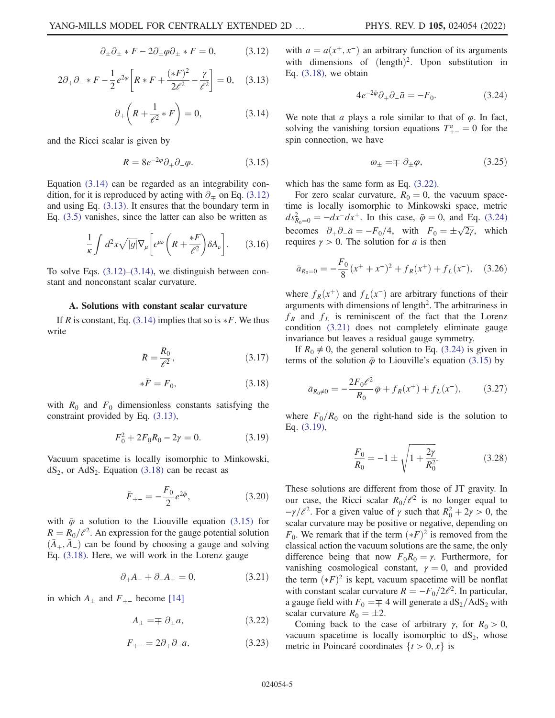$$
\partial_{\pm}\partial_{\pm} * F - 2\partial_{\pm}\varphi \partial_{\pm} * F = 0, \qquad (3.12)
$$

<span id="page-4-1"></span><span id="page-4-0"></span>
$$
2\partial_{+}\partial_{-}*F - \frac{1}{2}e^{2\varphi}\left[R*F + \frac{(*F)^{2}}{2\ell^{2}} - \frac{\gamma}{\ell^{2}}\right] = 0, \quad (3.13)
$$

$$
\partial_{\pm} \left( R + \frac{1}{\ell^2} * F \right) = 0, \tag{3.14}
$$

<span id="page-4-3"></span>and the Ricci scalar is given by

$$
R = 8e^{-2\varphi}\partial_+\partial_-\varphi.
$$
 (3.15)

Equation [\(3.14\)](#page-4-0) can be regarded as an integrability condition, for it is reproduced by acting with  $\partial$ <sub>≖</sub> on Eq. [\(3.12\)](#page-3-5) and using Eq. [\(3.13\)](#page-4-1). It ensures that the boundary term in Eq. [\(3.5\)](#page-3-3) vanishes, since the latter can also be written as

$$
\frac{1}{\kappa} \int d^2x \sqrt{|g|} \nabla_{\mu} \left[ \epsilon^{\mu\nu} \left( R + \frac{*F}{\ell^2} \right) \delta A_{\nu} \right]. \tag{3.16}
$$

To solve Eqs.  $(3.12)$ – $(3.14)$ , we distinguish between constant and nonconstant scalar curvature.

#### A. Solutions with constant scalar curvature

If R is constant, Eq.  $(3.14)$  implies that so is  $*F$ . We thus write

$$
\bar{R} = \frac{R_0}{\ell^2},\tag{3.17}
$$

$$
\ast \bar{F} = F_0,\tag{3.18}
$$

<span id="page-4-7"></span><span id="page-4-2"></span>with  $R_0$  and  $F_0$  dimensionless constants satisfying the constraint provided by Eq. [\(3.13\)](#page-4-1),

$$
F_0^2 + 2F_0 R_0 - 2\gamma = 0.
$$
 (3.19)

Vacuum spacetime is locally isomorphic to Minkowski,  $dS_2$ , or AdS<sub>2</sub>. Equation [\(3.18\)](#page-4-2) can be recast as

$$
\bar{F}_{+-} = -\frac{F_0}{2} e^{2\bar{\varphi}}, \tag{3.20}
$$

<span id="page-4-6"></span>with  $\bar{\varphi}$  a solution to the Liouville equation [\(3.15\)](#page-4-3) for  $R = R_0/e^2$ . An expression for the gauge potential solution  $(\bar{A}_{+}, \bar{A}_{-})$  can be found by choosing a gauge and solving Eq. [\(3.18\)](#page-4-2). Here, we will work in the Lorenz gauge

$$
\partial_{+}A_{-} + \partial_{-}A_{+} = 0, \tag{3.21}
$$

<span id="page-4-4"></span>in which  $A_{\pm}$  and  $F_{+-}$  become [\[14\]](#page-11-10)

$$
A_{\pm} = \mp \partial_{\pm} a,\tag{3.22}
$$

$$
F_{+-} = 2\partial_+\partial_- a,\tag{3.23}
$$

<span id="page-4-5"></span>with  $a = a(x^+, x^-)$  an arbitrary function of its arguments with dimensions of  $(length)<sup>2</sup>$ . Upon substitution in Eq.  $(3.18)$ , we obtain

$$
4e^{-2\bar{\varphi}}\partial_+\partial_-\bar{a} = -F_0. \tag{3.24}
$$

<span id="page-4-9"></span>We note that a plays a role similar to that of  $\varphi$ . In fact, solving the vanishing torsion equations  $T_{+-}^a = 0$  for the spin connection, we have spin connection, we have

$$
\omega_{\pm} = \mp \partial_{\pm} \varphi, \tag{3.25}
$$

which has the same form as Eq. [\(3.22\)](#page-4-4).

For zero scalar curvature,  $R_0 = 0$ , the vacuum spacetime is locally isomorphic to Minkowski space, metric  $ds_{R_0=0}^2 = -dx^-dx^+$ . In this case,  $\bar{\varphi} = 0$ , and Eq. [\(3.24\)](#page-4-5) becomes  $\partial_+ \partial_- \bar{a} = -F_0/4$ , with  $F_0 = \pm \sqrt{2\gamma}$ , which requires  $\gamma > 0$ . The solution for a is then

$$
\bar{a}_{R_0=0} = -\frac{F_0}{8}(x^+ + x^-)^2 + f_R(x^+) + f_L(x^-), \quad (3.26)
$$

where  $f_R(x^+)$  and  $f_L(x^-)$  are arbitrary functions of their arguments with dimensions of length<sup>2</sup>. The arbitrariness in  $f_R$  and  $f_L$  is reminiscent of the fact that the Lorenz condition [\(3.21\)](#page-4-6) does not completely eliminate gauge invariance but leaves a residual gauge symmetry.

<span id="page-4-8"></span>If  $R_0 \neq 0$ , the general solution to Eq. [\(3.24\)](#page-4-5) is given in terms of the solution  $\bar{\varphi}$  to Liouville's equation [\(3.15\)](#page-4-3) by

$$
\bar{a}_{R_0 \neq 0} = -\frac{2F_0 \ell^2}{R_0} \bar{\varphi} + f_R(x^+) + f_L(x^-), \qquad (3.27)
$$

where  $F_0/R_0$  on the right-hand side is the solution to Eq. [\(3.19\)](#page-4-7),

$$
\frac{F_0}{R_0} = -1 \pm \sqrt{1 + \frac{2\gamma}{R_0^2}}.\tag{3.28}
$$

These solutions are different from those of JT gravity. In our case, the Ricci scalar  $R_0/\ell^2$  is no longer equal to  $-\gamma/\ell^2$ . For a given value of  $\gamma$  such that  $R_0^2 + 2\gamma > 0$ , the scalar curvature may be positive or pegative depending on scalar curvature may be positive or negative, depending on  $F_0$ . We remark that if the term  $(*F)^2$  is removed from the classical action the vacuum solutions are the same, the only classical action the vacuum solutions are the same, the only difference being that now  $F_0R_0 = \gamma$ . Furthermore, for vanishing cosmological constant,  $\gamma = 0$ , and provided the term  $(*F)^2$  is kept, vacuum spacetime will be nonflat<br>with constant scalar curvature  $R = -E_1/2\ell^2$ . In particular with constant scalar curvature  $R = -F_0/2e^{2}$ . In particular, a gauge field with  $F_0 = \mp 4$  will generate a  $dS_2/ddS_2$  with scalar curvature  $R_0 = \pm 2$ .

Coming back to the case of arbitrary  $\gamma$ , for  $R_0 > 0$ , vacuum spacetime is locally isomorphic to  $dS_2$ , whose metric in Poincaré coordinates  $\{t > 0, x\}$  is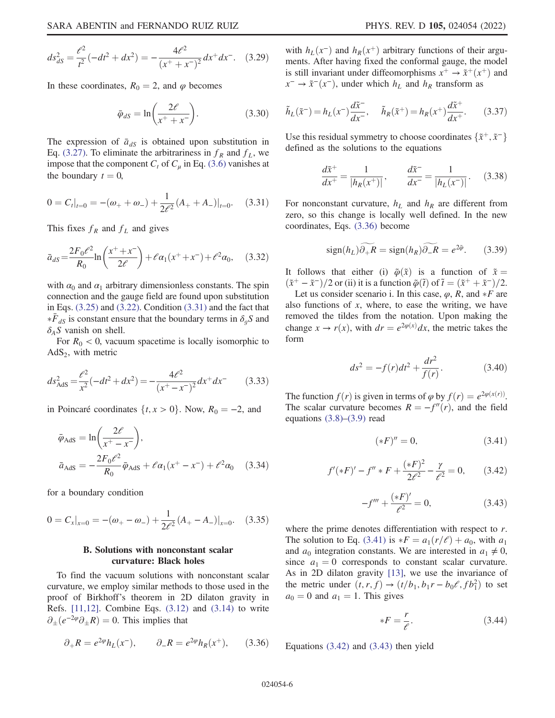$$
ds_{dS}^2 = \frac{\ell^2}{t^2}(-dt^2 + dx^2) = -\frac{4\ell^2}{(x^+ + x^-)^2}dx^+dx^-. \quad (3.29)
$$

In these coordinates,  $R_0 = 2$ , and  $\varphi$  becomes

$$
\bar{\varphi}_{dS} = \ln\left(\frac{2\ell}{x^+ + x^-}\right). \tag{3.30}
$$

<span id="page-5-0"></span>The expression of  $\bar{a}_{dS}$  is obtained upon substitution in Eq. [\(3.27\)](#page-4-8). To eliminate the arbitrariness in  $f_R$  and  $f_L$ , we impose that the component  $C_t$  of  $C_\mu$  in Eq. [\(3.6\)](#page-3-6) vanishes at the boundary  $t = 0$ ,

$$
0 = C_t|_{t=0} = -(\omega_+ + \omega_-) + \frac{1}{2\ell^2} (A_+ + A_-)|_{t=0}.
$$
 (3.31)

This fixes  $f_R$  and  $f_L$  and gives

$$
\bar{a}_{dS} = \frac{2F_0\ell^2}{R_0} \ln\left(\frac{x^+ + x^-}{2\ell}\right) + \ell\alpha_1(x^+ + x^-) + \ell^2\alpha_0, \quad (3.32)
$$

with  $\alpha_0$  and  $\alpha_1$  arbitrary dimensionless constants. The spin connection and the gauge field are found upon substitution in Eqs.  $(3.25)$  and  $(3.22)$ . Condition  $(3.31)$  and the fact that  $\delta_A S$  vanish on shell.  $*\bar{F}_{dS}$  is constant ensure that the boundary terms in  $\delta_{g}S$  and

For  $R_0 < 0$ , vacuum spacetime is locally isomorphic to  $AdS<sub>2</sub>$ , with metric

$$
ds_{\text{AdS}}^2 = \frac{\ell^2}{x^2}(-dt^2 + dx^2) = -\frac{4\ell^2}{(x^+ - x^-)^2}dx^+dx^- \tag{3.33}
$$

in Poincaré coordinates  $\{t, x > 0\}$ . Now,  $R_0 = -2$ , and

$$
\bar{\varphi}_{AdS} = \ln \left( \frac{2\ell}{x^+ - x^-} \right),
$$
  
\n
$$
\bar{a}_{AdS} = -\frac{2F_0 \ell^2}{R_0} \bar{\varphi}_{AdS} + \ell \alpha_1 (x^+ - x^-) + \ell^2 \alpha_0 \quad (3.34)
$$

<span id="page-5-8"></span>for a boundary condition

$$
0 = C_x|_{x=0} = -(\omega_+ - \omega_-) + \frac{1}{2\ell^2} (A_+ - A_-)|_{x=0}.
$$
 (3.35)

### B. Solutions with nonconstant scalar curvature: Black holes

<span id="page-5-1"></span>To find the vacuum solutions with nonconstant scalar curvature, we employ similar methods to those used in the proof of Birkhoff's theorem in 2D dilaton gravity in Refs.  $[11,12]$  $[11,12]$ . Combine Eqs.  $(3.12)$  and  $(3.14)$  to write  $\partial_{+}(e^{-2\varphi}\partial_{+}R)=0$ . This implies that

$$
\partial_{+}R = e^{2\varphi}h_{L}(x^{-}), \qquad \partial_{-}R = e^{2\varphi}h_{R}(x^{+}), \qquad (3.36)
$$

with  $h_L(x^-)$  and  $h_R(x^+)$  arbitrary functions of their arguments. After having fixed the conformal gauge, the model is still invariant under diffeomorphisms  $x^+ \rightarrow \tilde{x}^+(x^+)$  and  $x^-$  →  $\tilde{x}^-(x^-)$ , under which  $h<sub>L</sub>$  and  $h<sub>R</sub>$  transform as

$$
\tilde{h}_L(\tilde{x}^-) = h_L(x^-) \frac{d\tilde{x}^-}{dx^-}, \quad \tilde{h}_R(\tilde{x}^+) = h_R(x^+) \frac{d\tilde{x}^+}{dx^+}.
$$
 (3.37)

Use this residual symmetry to choose coordinates  $\{\tilde{x}^+, \tilde{x}^-\}$ defined as the solutions to the equations

$$
\frac{d\tilde{x}^+}{dx^+} = \frac{1}{|h_R(x^+)|}, \qquad \frac{d\tilde{x}^-}{dx^-} = \frac{1}{|h_L(x^-)|}.
$$
 (3.38)

<span id="page-5-7"></span>For nonconstant curvature,  $h_L$  and  $h_R$  are different from zero, so this change is locally well defined. In the new coordinates, Eqs. [\(3.36\)](#page-5-1) become

$$
\text{sign}(h_L)\widetilde{\partial_+R} = \text{sign}(h_R)\widetilde{\partial_-R} = e^{2\tilde{\varphi}}.\tag{3.39}
$$

It follows that either (i)  $\tilde{\varphi}(\tilde{x})$  is a function of  $\tilde{x} =$  $(\tilde{x}^+-\tilde{x}^-)/2$  or (ii) it is a function  $\tilde{\varphi}(\tilde{t})$  of  $\tilde{t}=(\tilde{x}^++\tilde{x}^-)/2$ .

<span id="page-5-5"></span>Let us consider scenario i. In this case,  $\varphi$ , R, and  $*F$  are<br>to functions of x, where to ease the writing we have also functions of  $x$ , where, to ease the writing, we have removed the tildes from the notation. Upon making the change  $x \to r(x)$ , with  $dr = e^{2\varphi(x)}dx$ , the metric takes the form form

$$
ds^{2} = -f(r)dt^{2} + \frac{dr^{2}}{f(r)}.
$$
 (3.40)

<span id="page-5-2"></span>The function  $f(r)$  is given in terms of  $\varphi$  by  $f(r) = e^{2\varphi(x(r))}$ . The scalar curvature becomes  $R = -f''(r)$ , and the field equations  $(3.8)$ – $(3.9)$  read

$$
(*F)" = 0,\t\t(3.41)
$$

<span id="page-5-4"></span><span id="page-5-3"></span>
$$
f'(*F)' - f'' * F + \frac{(*F)^2}{2\ell^2} - \frac{\gamma}{\ell^2} = 0, \qquad (3.42)
$$

$$
-f''' + \frac{(*F)'}{\ell^2} = 0,
$$
\n(3.43)

where the prime denotes differentiation with respect to r. The solution to Eq. [\(3.41\)](#page-5-2) is  $*F = a_1(r/\ell) + a_0$ , with  $a_1$ <br>and  $a_2$  integration constants. We are interested in  $a_1 \neq 0$ . and  $a_0$  integration constants. We are interested in  $a_1 \neq 0$ , since  $a_1 = 0$  corresponds to constant scalar curvature. As in 2D dilaton gravity [\[13\]](#page-11-9), we use the invariance of the metric under  $(t, r, f) \rightarrow (t/b_1, b_1r - b_0l^2, fb_1^2)$  to set  $a_0 = 0$  and  $a_1 = 1$ . This gives  $a_0 = 0$  and  $a_1 = 1$ . This gives

$$
*F = \frac{r}{e}.\tag{3.44}
$$

<span id="page-5-6"></span>Equations [\(3.42\)](#page-5-3) and [\(3.43\)](#page-5-4) then yield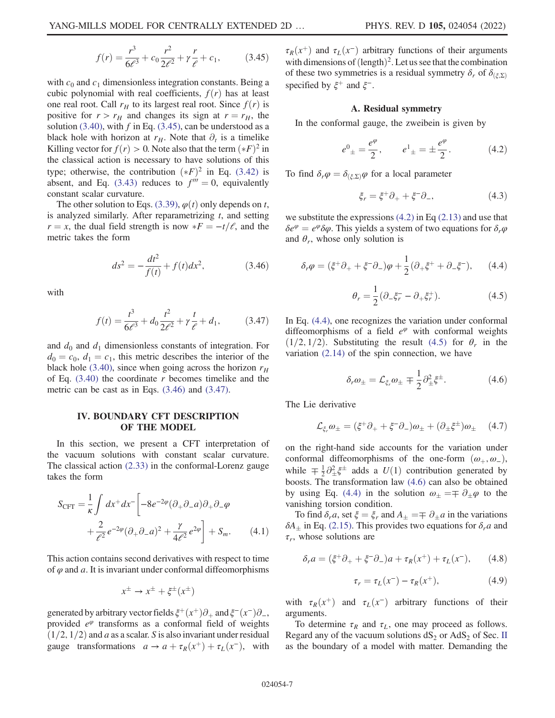$$
f(r) = \frac{r^3}{6\ell^3} + c_0 \frac{r^2}{2\ell^2} + \gamma \frac{r}{\ell} + c_1,
$$
 (3.45)

with  $c_0$  and  $c_1$  dimensionless integration constants. Being a cubic polynomial with real coefficients,  $f(r)$  has at least one real root. Call  $r_H$  to its largest real root. Since  $f(r)$  is positive for  $r > r_H$  and changes its sign at  $r = r_H$ , the solution [\(3.40\),](#page-5-5) with f in Eq. [\(3.45\),](#page-5-6) can be understood as a black hole with horizon at  $r_H$ . Note that  $\partial_t$  is a timelike Killing vector for  $f(r) > 0$ . Note also that the term  $(*F)^2$  in the classical action is necessary to have solutions of this the classical action is necessary to have solutions of this type; otherwise, the contribution  $(*F)^2$  in Eq. [\(3.42\)](#page-5-3) is<br>absent and Eq. (3.43) reduces to  $f''' = 0$  equivalently absent, and Eq. [\(3.43\)](#page-5-4) reduces to  $f''' = 0$ , equivalently constant scalar curvature.

<span id="page-6-1"></span>The other solution to Eqs. [\(3.39\)](#page-5-7),  $\varphi(t)$  only depends on t, is analyzed similarly. After reparametrizing  $t$ , and setting  $r = x$ , the dual field strength is now  $*F = -t/\ell$ , and the metric takes the form metric takes the form

$$
ds^2 = -\frac{dt^2}{f(t)} + f(t)dx^2,
$$
 (3.46)

<span id="page-6-2"></span>with

$$
f(t) = \frac{t^3}{6\ell^3} + d_0 \frac{t^2}{2\ell^2} + \gamma \frac{t}{\ell} + d_1,
$$
 (3.47)

and  $d_0$  and  $d_1$  dimensionless constants of integration. For  $d_0 = c_0, d_1 = c_1$ , this metric describes the interior of the black hole [\(3.40\),](#page-5-5) since when going across the horizon  $r_H$ of Eq.  $(3.40)$  the coordinate r becomes timelike and the metric can be cast as in Eqs. [\(3.46\)](#page-6-1) and [\(3.47\).](#page-6-2)

### <span id="page-6-0"></span>IV. BOUNDARY CFT DESCRIPTION OF THE MODEL

<span id="page-6-7"></span>In this section, we present a CFT interpretation of the vacuum solutions with constant scalar curvature. The classical action [\(2.33\)](#page-3-1) in the conformal-Lorenz gauge takes the form

$$
S_{\text{CFT}} = \frac{1}{\kappa} \int dx^+ dx^- \left[ -8e^{-2\varphi} (\partial_+ \partial_- a) \partial_+ \partial_- \varphi \right. \\ \left. + \frac{2}{\ell^2} e^{-2\varphi} (\partial_+ \partial_- a)^2 + \frac{\gamma}{4\ell^2} e^{2\varphi} \right] + S_m. \tag{4.1}
$$

This action contains second derivatives with respect to time of  $\varphi$  and a. It is invariant under conformal diffeomorphisms

$$
x^{\pm} \to x^{\pm} + \xi^{\pm}(x^{\pm})
$$

generated by arbitrary vector fields  $\xi^+(x^+) \partial_+$  and  $\xi^-(x^-) \partial_-,$ provided  $e^{\varphi}$  transforms as a conformal field of weights  $(1/2, 1/2)$  and a as a scalar. S is also invariant under residual gauge transformations  $a \to a + \tau_R(x^+) + \tau_L(x^-)$ , with  $\tau_R(x^+)$  and  $\tau_L(x^-)$  arbitrary functions of their arguments with dimensions of  $(\text{length})^2$ . Let us see that the combination of these two symmetries is a residual symmetry  $\delta_r$  of  $\delta_{(\xi,\Sigma)}$ specified by  $\xi^+$  and  $\xi^-$ .

#### A. Residual symmetry

<span id="page-6-3"></span>In the conformal gauge, the zweibein is given by

$$
e^{0}{}_{\pm} = \frac{e^{\varphi}}{2}, \qquad e^{1}{}_{\pm} = \pm \frac{e^{\varphi}}{2}.
$$
 (4.2)

To find  $\delta_r \varphi = \delta_{(\xi, \Sigma)} \varphi$  for a local parameter

$$
\xi_r = \xi^+ \partial_+ + \xi^- \partial_-, \tag{4.3}
$$

<span id="page-6-4"></span>we substitute the expressions  $(4.2)$  in Eq  $(2.13)$  and use that  $\delta e^{\varphi} = e^{\varphi} \delta \varphi$ . This yields a system of two equations for  $\delta_r \varphi$ and  $\theta_r$ , whose only solution is

<span id="page-6-5"></span>
$$
\delta_r \varphi = (\xi^+ \partial_+ + \xi^- \partial_-) \varphi + \frac{1}{2} (\partial_+ \xi^+ + \partial_- \xi^-), \qquad (4.4)
$$

$$
\theta_r = \frac{1}{2} (\partial_{-} \xi_r^- - \partial_{+} \xi_r^+). \tag{4.5}
$$

<span id="page-6-6"></span>In Eq. [\(4.4\),](#page-6-4) one recognizes the variation under conformal diffeomorphisms of a field  $e^{\varphi}$  with conformal weights  $(1/2, 1/2)$ . Substituting the result [\(4.5\)](#page-6-5) for  $\theta_r$  in the variation  $(2.14)$  of the spin connection, we have

$$
\delta_r \omega_{\pm} = \mathcal{L}_{\xi_r} \omega_{\pm} \mp \frac{1}{2} \partial_{\pm}^2 \xi^{\pm}.
$$
 (4.6)

The Lie derivative

$$
\mathcal{L}_{\xi_r} \omega_{\pm} = (\xi^+ \partial_+ + \xi^- \partial_-) \omega_{\pm} + (\partial_{\pm} \xi^{\pm}) \omega_{\pm} \quad (4.7)
$$

on the right-hand side accounts for the variation under conformal diffeomorphisms of the one-form  $(\omega_+, \omega_-)$ , while  $\mp \frac{1}{2} \partial_{\pm}^2 \xi^{\pm}$  adds a  $U(1)$  contribution generated by<br>hoosts. The transformation law (4.6) can also be obtained boosts. The transformation law [\(4.6\)](#page-6-6) can also be obtained by using Eq. [\(4.4\)](#page-6-4) in the solution  $\omega_{\pm} = \mp \partial_{\pm} \varphi$  to the vanishing torsion condition.

To find  $\delta_r a$ , set  $\xi = \xi_r$  and  $A_{\pm} = \mp \partial_{\pm} a$  in the variations  $\delta A_{\pm}$  in Eq. [\(2.15\)](#page-2-4). This provides two equations for  $\delta_r a$  and  $\tau_r$ , whose solutions are

$$
\delta_r a = (\xi^+ \partial_+ + \xi^- \partial_-) a + \tau_R(x^+) + \tau_L(x^-), \qquad (4.8)
$$

$$
\tau_r = \tau_L(x^-) - \tau_R(x^+), \tag{4.9}
$$

with  $\tau_R(x^+)$  and  $\tau_L(x^-)$  arbitrary functions of their arguments.

To determine  $\tau_R$  and  $\tau_L$ , one may proceed as follows. Regard any of the vacuum solutions  $dS_2$  or  $AdS_2$  of Sec. [II](#page-1-0) as the boundary of a model with matter. Demanding the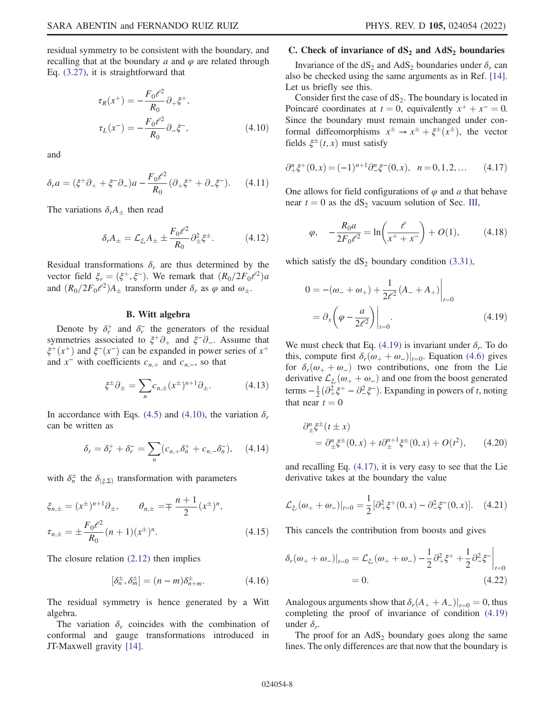<span id="page-7-0"></span>residual symmetry to be consistent with the boundary, and recalling that at the boundary a and  $\varphi$  are related through Eq. [\(3.27\)](#page-4-8), it is straightforward that

$$
\tau_R(x^+) = -\frac{F_0 \ell^2}{R_0} \partial_+ \xi^+, \n\tau_L(x^-) = -\frac{F_0 \ell^2}{R_0} \partial_- \xi^-,
$$
\n(4.10)

and

$$
\delta_r a = (\xi^+ \partial_+ + \xi^- \partial_-) a - \frac{F_0 \ell^2}{R_0} (\partial_+ \xi^+ + \partial_- \xi^-). \tag{4.11}
$$

The variations  $\delta_r A_+$  then read

$$
\delta_r A_\pm = \mathcal{L}_{\xi_r} A_\pm \pm \frac{F_0 \ell^2}{R_0} \partial_\pm^2 \xi^\pm. \tag{4.12}
$$

Residual transformations  $\delta_r$  are thus determined by the vector field  $\xi_r = (\xi^+, \xi^-)$ . We remark that  $(R_0/2F_0\ell^2)a$ and  $(R_0/2F_0\ell^2)A_{\pm}$  transform under  $\delta_r$  as  $\varphi$  and  $\omega_{\pm}$ .

## B. Witt algebra

Denote by  $\delta_r^+$  and  $\delta_r^-$  the generators of the residual symmetries associated to  $\xi^+\partial_+$  and  $\xi^-\partial_-$ . Assume that  $\xi^+(x^+)$  and  $\xi^-(x^-)$  can be expanded in power series of  $x^+$ and  $x^-$  with coefficients  $c_{n,+}$  and  $c_{n,-}$ , so that

$$
\xi^{\pm}\partial_{\pm} = \sum_{n} c_{n,\pm}(x^{\pm})^{n+1}\partial_{\pm}.
$$
 (4.13)

In accordance with Eqs. [\(4.5\)](#page-6-5) and [\(4.10\),](#page-7-0) the variation  $\delta_r$ can be written as

$$
\delta_r = \delta_r^+ + \delta_r^- = \sum_n (c_{n,+} \delta_n^+ + c_{n,-} \delta_n^-), \quad (4.14)
$$

with  $\delta_n^{\pm}$  the  $\delta_{(\xi,\Sigma)}$  transformation with parameters

$$
\xi_{n,\pm} = (x^{\pm})^{n+1} \partial_{\pm}, \qquad \theta_{n,\pm} = \mp \frac{n+1}{2} (x^{\pm})^n,
$$
  

$$
\tau_{n,\pm} = \pm \frac{F_0 \ell^2}{R_0} (n+1) (x^{\pm})^n.
$$
 (4.15)

The closure relation [\(2.12\)](#page-1-1) then implies

$$
\left[\delta_n^{\pm}, \delta_m^{\pm}\right] = (n-m)\delta_{n+m}^{\pm}.\tag{4.16}
$$

The residual symmetry is hence generated by a Witt algebra.

The variation  $\delta_r$  coincides with the combination of conformal and gauge transformations introduced in JT-Maxwell gravity [[14](#page-11-10)].

### C. Check of invariance of  $dS_2$  and  $AdS_2$  boundaries

Invariance of the  $dS_2$  and  $AdS_2$  boundaries under  $\delta_r$  can also be checked using the same arguments as in Ref. [[14](#page-11-10)]. Let us briefly see this.

Consider first the case of  $dS_2$ . The boundary is located in Poincaré coordinates at  $t = 0$ , equivalently  $x^+ + x^- = 0$ . Since the boundary must remain unchanged under conformal diffeomorphisms  $x^{\pm} \rightarrow x^{\pm} + \xi^{\pm}(x^{\pm})$ , the vector fields  $\xi^{\pm}(t, x)$  must satisfy

<span id="page-7-2"></span>
$$
\partial_{+}^{n}\xi^{+}(0,x) = (-1)^{n+1}\partial_{-}^{n}\xi^{-}(0,x), \quad n = 0, 1, 2, \dots \tag{4.17}
$$

One allows for field configurations of  $\varphi$  and a that behave near  $t = 0$  as the dS<sub>2</sub> vacuum solution of Sec. [III](#page-3-0),

$$
\varphi, \quad -\frac{R_0 a}{2F_0 \ell^2} = \ln\left(\frac{\ell}{x^+ + x^-}\right) + O(1), \tag{4.18}
$$

<span id="page-7-1"></span>which satisfy the  $dS_2$  boundary condition [\(3.31\)](#page-5-0),

$$
0 = -(\omega_- + \omega_+) + \frac{1}{2\ell^2} (A_- + A_+) \Big|_{t=0}
$$
  
=  $\partial_x \left( \varphi - \frac{a}{2\ell^2} \right) \Big|_{t=0}.$  (4.19)

We must check that Eq. [\(4.19\)](#page-7-1) is invariant under  $\delta_r$ . To do this, compute first  $\delta_r(\omega_+ + \omega_-)|_{t=0}$ . Equation [\(4.6\)](#page-6-6) gives for  $\delta_r(\omega_+ + \omega_-)$  two contributions, one from the Lie derivative  $\mathcal{L}_{\xi_r}(\omega_+ + \omega_-)$  and one from the boost generated<br>tarms  $\frac{1}{2}(\frac{\omega_2}{\xi_+} + \frac{\omega_2}{\xi_-})$  Expanding in powers of t noting terms  $-\frac{1}{2}(\partial^2_+\xi^+ - \partial^2_-\xi^-)$ . Expanding in powers of t, noting that near  $t = 0$ that near  $t = 0$ 

$$
\partial_{\pm}^{n} \xi^{\pm}(t \pm x) = \partial_{\pm}^{n} \xi^{\pm}(0, x) + t \partial_{\pm}^{n+1} \xi^{\pm}(0, x) + O(t^{2}), \qquad (4.20)
$$

and recalling Eq. [\(4.17\)](#page-7-2), it is very easy to see that the Lie derivative takes at the boundary the value

$$
\mathcal{L}_{\xi_r}(\omega_+ + \omega_-)|_{t=0} = \frac{1}{2} [\partial_+^2 \xi^+(0, x) - \partial_-^2 \xi^-(0, x)]. \quad (4.21)
$$

This cancels the contribution from boosts and gives

$$
\delta_r(\omega_+ + \omega_-)|_{t=0} = \mathcal{L}_{\xi_r}(\omega_+ + \omega_-) - \frac{1}{2}\partial_+^2 \xi^+ + \frac{1}{2}\partial_-^2 \xi^-|_{t=0}
$$
  
= 0. (4.22)

Analogous arguments show that  $\delta_r(A_+ + A_-)|_{t=0} = 0$ , thus completing the proof of invariance of condition [\(4.19\)](#page-7-1) under  $\delta_r$ .

The proof for an  $AdS_2$  boundary goes along the same lines. The only differences are that now that the boundary is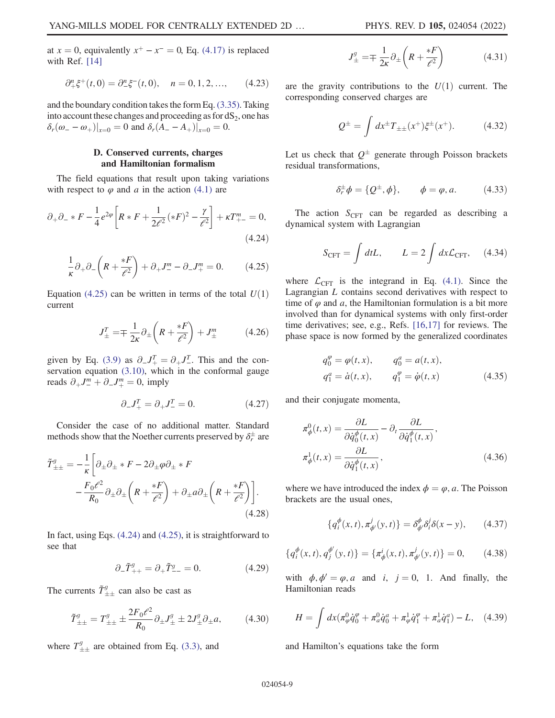at  $x = 0$ , equivalently  $x^+ - x^- = 0$ , Eq. [\(4.17\)](#page-7-2) is replaced with Ref. [[14](#page-11-10)]

$$
\partial_{+}^{n}\xi^{+}(t,0) = \partial_{-}^{n}\xi^{-}(t,0), \quad n = 0, 1, 2, \dots, \qquad (4.23)
$$

and the boundary condition takes the form Eq. [\(3.35\)](#page-5-8). Taking into account these changes and proceeding as for  $dS<sub>2</sub>$ , one has  $\delta_r(\omega_--\omega_+)|_{x=0} = 0$  and  $\delta_r(A_--A_+)|_{x=0} = 0$ .

### D. Conserved currents, charges and Hamiltonian formalism

<span id="page-8-1"></span>The field equations that result upon taking variations with respect to  $\varphi$  and a in the action [\(4.1\)](#page-6-7) are

$$
\partial_{+}\partial_{-} * F - \frac{1}{4}e^{2\varphi}\left[R * F + \frac{1}{2\ell^{2}}(*F)^{2} - \frac{\gamma}{\ell^{2}}\right] + \kappa T_{+-}^{m} = 0,
$$
\n(4.24)

<span id="page-8-0"></span>
$$
\frac{1}{\kappa}\partial_+\partial_-\left(R+\frac{*F}{\ell^2}\right)+\partial_+J^m_--\partial_-J^m_+=0.\tag{4.25}
$$

Equation [\(4.25\)](#page-8-0) can be written in terms of the total  $U(1)$ current

$$
J_{\pm}^{T} = \mp \frac{1}{2\kappa} \partial_{\pm} \left( R + \frac{*F}{\ell^{2}} \right) + J_{\pm}^{m} \tag{4.26}
$$

<span id="page-8-4"></span>given by Eq. [\(3.9\)](#page-3-4) as  $\partial_{-}J_{+}^{T} = \partial_{+}J_{-}^{T}$ . This and the con-<br>servation equation (3.10) which in the conformal gauge servation equation [\(3.10\)](#page-3-8), which in the conformal gauge reads  $\partial_+ J^m_- + \partial_- J^m_+ = 0$ , imply

$$
\partial_- J^T_+ = \partial_+ J^T_- = 0. \tag{4.27}
$$

Consider the case of no additional matter. Standard methods show that the Noether currents preserved by  $\delta_r^\pm$  are

$$
\tilde{T}_{\pm\pm}^{g} = -\frac{1}{\kappa} \left[ \partial_{\pm} \partial_{\pm} * F - 2\partial_{\pm} \varphi \partial_{\pm} * F - \frac{F_0 \ell^2}{R_0} \partial_{\pm} \partial_{\pm} \left( R + \frac{*F}{\ell^2} \right) + \partial_{\pm} a \partial_{\pm} \left( R + \frac{*F}{\ell^2} \right) \right].
$$
\n(4.28)

In fact, using Eqs. [\(4.24\)](#page-8-1) and [\(4.25\),](#page-8-0) it is straightforward to see that

$$
\partial_- \tilde{T}^g_{++} = \partial_+ \tilde{T}^g_{--} = 0. \tag{4.29}
$$

<span id="page-8-3"></span>The currents  $\tilde{T}^g_{\pm\pm}$  can also be cast as

$$
\tilde{T}_{\pm\pm}^g = T_{\pm\pm}^g \pm \frac{2F_0 \ell^2}{R_0} \partial_\pm J_\pm^g \pm 2J_\pm^g \partial_\pm a,\tag{4.30}
$$

where  $T_{\pm\pm}^g$  are obtained from Eq. [\(3.3\)](#page-3-9), and

$$
J_{\pm}^{g} = \mp \frac{1}{2\kappa} \partial_{\pm} \left( R + \frac{*F}{\ell^{2}} \right) \tag{4.31}
$$

are the gravity contributions to the  $U(1)$  current. The corresponding conserved charges are

$$
Q^{\pm} = \int dx^{\pm} T_{\pm\pm}(x^{+}) \xi^{\pm}(x^{+}). \tag{4.32}
$$

<span id="page-8-2"></span>Let us check that  $Q^{\pm}$  generate through Poisson brackets residual transformations,

$$
\delta_r^{\pm} \phi = \{ Q^{\pm}, \phi \}, \qquad \phi = \varphi, a. \tag{4.33}
$$

The action  $S_{\text{CFT}}$  can be regarded as describing a dynamical system with Lagrangian

$$
S_{\text{CFT}} = \int dtL, \qquad L = 2 \int dx \mathcal{L}_{\text{CFT}}, \quad (4.34)
$$

where  $\mathcal{L}_{CFT}$  is the integrand in Eq. [\(4.1\)](#page-6-7). Since the Lagrangian L contains second derivatives with respect to time of  $\varphi$  and a, the Hamiltonian formulation is a bit more involved than for dynamical systems with only first-order time derivatives; see, e.g., Refs. [[16](#page-11-14),[17](#page-11-15)] for reviews. The phase space is now formed by the generalized coordinates

$$
q_0^{\varphi} = \varphi(t, x),
$$
  $q_0^a = a(t, x),$   
\n $q_1^a = \dot{a}(t, x),$   $q_1^{\varphi} = \dot{\varphi}(t, x)$  (4.35)

and their conjugate momenta,

$$
\pi_{\phi}^{0}(t,x) = \frac{\partial L}{\partial \dot{q}_{0}^{\phi}(t,x)} - \partial_{t} \frac{\partial L}{\partial \dot{q}_{1}^{\phi}(t,x)},
$$
\n
$$
\pi_{\phi}^{1}(t,x) = \frac{\partial L}{\partial \dot{q}_{1}^{\phi}(t,x)},
$$
\n(4.36)

where we have introduced the index  $\phi = \varphi$ , a. The Poisson brackets are the usual ones,

$$
\{q_i^{\phi}(x,t), \pi_{\phi'}^j(y,t)\} = \delta_{\phi'}^{\phi} \delta_i^j \delta(x-y), \qquad (4.37)
$$

$$
\{q_i^{\phi}(x,t), q_j^{\phi'}(y,t)\} = \{\pi_{\phi}^i(x,t), \pi_{\phi'}^j(y,t)\} = 0, \qquad (4.38)
$$

with  $\phi, \phi' = \varphi, a$  and i,  $j = 0, 1$ . And finally, the Hamiltonian reads

$$
H = \int dx \left( \pi_{\varphi}^{0} \dot{q}_{0}^{\varphi} + \pi_{a}^{0} \dot{q}_{0}^{a} + \pi_{\varphi}^{1} \dot{q}_{1}^{\varphi} + \pi_{a}^{1} \dot{q}_{1}^{a} \right) - L, \quad (4.39)
$$

and Hamilton's equations take the form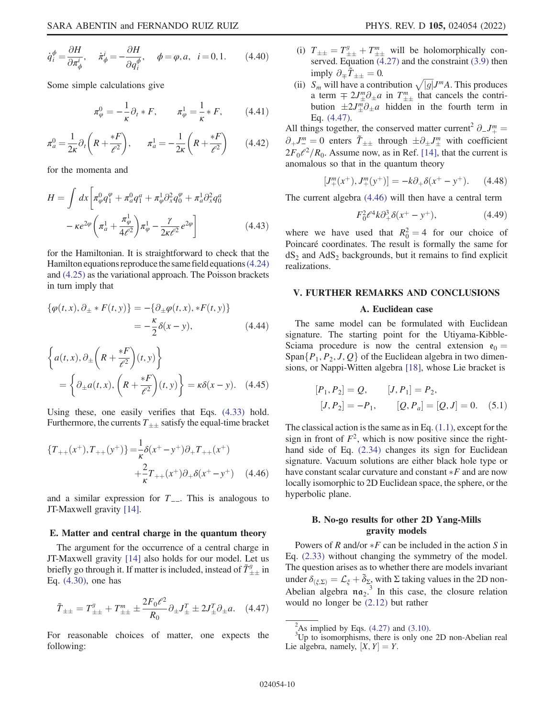$$
\dot{q}_i^{\phi} = \frac{\partial H}{\partial \pi_{\phi}^i}, \quad \dot{\pi}_{\phi}^i = -\frac{\partial H}{\partial q_i^{\phi}}, \quad \phi = \varphi, a, \quad i = 0, 1. \tag{4.40}
$$

Some simple calculations give

$$
\pi_{\varphi}^{0} = -\frac{1}{\kappa} \partial_{t} * F, \qquad \pi_{\varphi}^{1} = \frac{1}{\kappa} * F, \qquad (4.41)
$$

$$
\pi_a^0 = \frac{1}{2\kappa} \partial_t \left( R + \frac{*F}{\ell^2} \right), \qquad \pi_a^1 = -\frac{1}{2\kappa} \left( R + \frac{*F}{\ell^2} \right) \tag{4.42}
$$

for the momenta and

$$
H = \int dx \left[ \pi_{\varphi}^{0} q_{1}^{\varphi} + \pi_{a}^{0} q_{1}^{a} + \pi_{\varphi}^{1} \partial_{x}^{2} q_{0}^{\varphi} + \pi_{a}^{1} \partial_{x}^{2} q_{0}^{a} \right]
$$

$$
- \kappa e^{2\varphi} \left( \pi_{a}^{1} + \frac{\pi_{\varphi}^{1}}{4\ell^{2}} \right) \pi_{\varphi}^{1} - \frac{\gamma}{2\kappa\ell^{2}} e^{2\varphi} \right]
$$
(4.43)

for the Hamiltonian. It is straightforward to check that the Hamilton equations reproduce the same field equations  $(4.24)$ and [\(4.25\)](#page-8-0) as the variational approach. The Poisson brackets in turn imply that

$$
\{\varphi(t,x), \partial_{\pm} * F(t,y)\} = -\{\partial_{\pm}\varphi(t,x), *F(t,y)\}
$$
  
=  $-\frac{\kappa}{2}\delta(x-y),$  (4.44)

$$
\left\{ a(t, x), \partial_{\pm} \left( R + \frac{*F}{\ell^2} \right) (t, y) \right\}
$$

$$
= \left\{ \partial_{\pm} a(t, x), \left( R + \frac{*F}{\ell^2} \right) (t, y) \right\} = \kappa \delta(x - y). \quad (4.45)
$$

<span id="page-9-2"></span>Using these, one easily verifies that Eqs. [\(4.33\)](#page-8-2) hold. Furthermore, the currents  $T_{++}$  satisfy the equal-time bracket

$$
\{T_{++}(x^+), T_{++}(y^+) \} = \frac{1}{\kappa} \delta(x^+ - y^+) \partial_+ T_{++}(x^+) + \frac{2}{\kappa} T_{++}(x^+) \partial_+ \delta(x^+ - y^+) \tag{4.46}
$$

and a similar expression for  $T_{-}$ . This is analogous to JT-Maxwell gravity [[14](#page-11-10)].

#### E. Matter and central charge in the quantum theory

<span id="page-9-1"></span>The argument for the occurrence of a central charge in JT-Maxwell gravity [[14](#page-11-10)] also holds for our model. Let us briefly go through it. If matter is included, instead of  $\tilde{T}^g_{\pm\pm}$  in Eq. [\(4.30\)](#page-8-3), one has

$$
\tilde{T}_{\pm\pm} = T_{\pm\pm}^g + T_{\pm\pm}^m \pm \frac{2F_0\ell^2}{R_0} \partial_{\pm} J_{\pm}^T \pm 2J_{\pm}^T \partial_{\pm} a. \quad (4.47)
$$

For reasonable choices of matter, one expects the following:

- (i)  $T_{\pm\pm} = T_{\pm\pm}^g + T_{\pm\pm}^m$  will be holomorphically conserved. Equation [\(4.27\)](#page-8-4) and the constraint [\(3.9\)](#page-3-4) then imply  $\partial_{\mp}\tilde{T}_{\pm\pm}=0$ .
- (ii)  $S_m$  will have a contribution  $\sqrt{|g|}J^m A$ . This produces<br>a term  $\pm 2J^m A$ , a in  $T^m$  that cancels the contria term  $\mp 2J_{\pm}^{m}\partial_{\pm}a$  in  $T_{\pm\pm}^{m}$  that cancels the contri-<br>bution  $\pm 2J_{\pm}^{m}\partial_{\pm}a$  hidden in the fourth term in bution  $\pm 2J_{\pm}^{m}\partial_{\pm}a$  hidden in the fourth term in Eq. [\(4.47\)](#page-9-1).

All things together, the conserved matter current<sup>2</sup>  $\partial$ <sub>-</sub>J<sup>m</sup><sup>m</sup> =  $\partial_+ J^m = 0$  enters  $\tilde{T}_{\pm\pm}$  through  $\pm \partial_{\pm} J^m_{\pm}$  with coefficient<br>  $2E \ll 2/D$ . Assume now as in Pef [14], that the current is  $2F_0\ell^2/R_0$ . Assume now, as in Ref. [\[14\]](#page-11-10), that the current is anomalous so that in the quantum theory

$$
[J^m_+(x^+), J^m_+(y^+)] = -k\partial_+\delta(x^+ - y^+). \tag{4.48}
$$

The current algebra [\(4.46\)](#page-9-2) will then have a central term

$$
F_0^2 \ell^4 k \partial_+^3 \delta(x^+ - y^+), \tag{4.49}
$$

where we have used that  $R_0^2 = 4$  for our choice of Poincaré coordinates. The result is formally the same for Poincaré coordinates. The result is formally the same for  $dS_2$  and  $AdS_2$  backgrounds, but it remains to find explicit realizations.

#### <span id="page-9-0"></span>V. FURTHER REMARKS AND CONCLUSIONS

### A. Euclidean case

The same model can be formulated with Euclidean signature. The starting point for the Utiyama-Kibble-Sciama procedure is now the central extension  $e_0 =$ Span $\{P_1, P_2, J, Q\}$  of the Euclidean algebra in two dimensions, or Nappi-Witten algebra [[18](#page-11-16)], whose Lie bracket is

$$
[P_1, P_2] = Q, \t [J, P_1] = P_2,
$$
  

$$
[J, P_2] = -P_1, \t [Q, P_a] = [Q, J] = 0.
$$
 (5.1)

The classical action is the same as in Eq. [\(1.1\)](#page-0-3), except for the sign in front of  $F^2$ , which is now positive since the righthand side of Eq. [\(2.34\)](#page-3-10) changes its sign for Euclidean signature. Vacuum solutions are either black hole type or have constant scalar curvature and constant  $*F$  and are now<br>locally isomorphic to 2D Euclidean space, the sphere, or the locally isomorphic to 2D Euclidean space, the sphere, or the hyperbolic plane.

### B. No-go results for other 2D Yang-Mills gravity models

Powers of R and/or  $*F$  can be included in the action S in (2.33) without changing the symmetry of the model Eq. [\(2.33\)](#page-3-1) without changing the symmetry of the model. The question arises as to whether there are models invariant under  $\delta_{(\xi, \Sigma)} = \mathcal{L}_{\xi} + \tilde{\delta}_{\Sigma}$ , with  $\Sigma$  taking values in the 2D non-<br>Abelian algebra,  $\pi \lambda^{-3}$ . In this case, the closure relation Abelian algebra  $\pi a_2$ <sup>3</sup>. In this case, the closure relation would no longer be [\(2.12\)](#page-1-1) but rather

<sup>&</sup>lt;sup>2</sup>As implied by Eqs.  $(4.27)$  and  $(3.10)$ .<br><sup>3</sup>Up to isomorphisms, there is only one 2D non-Abelian real Lie algebra, namely,  $[X, Y] = Y$ .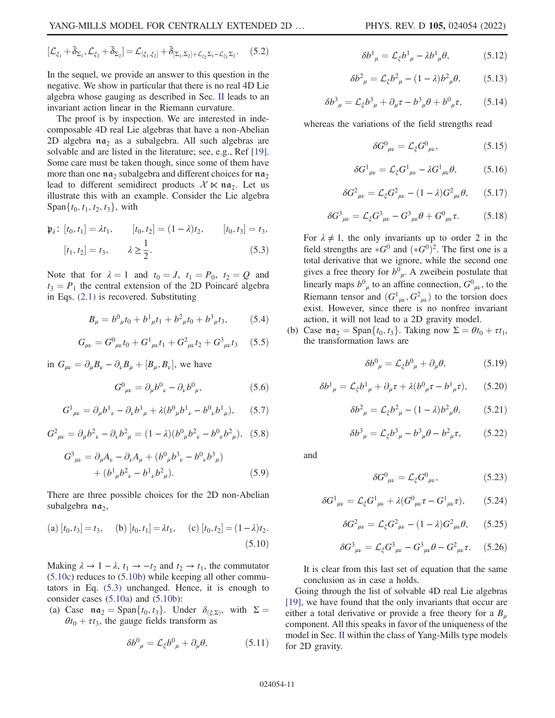$$
[\mathcal{L}_{\xi_1}+\tilde{\delta}_{\Sigma_1},\mathcal{L}_{\xi_2}+\tilde{\delta}_{\Sigma_2}]=\mathcal{L}_{[\xi_1,\xi_2]}+\tilde{\delta}_{[\Sigma_1,\Sigma_2]+\mathcal{L}_{\xi_2}\Sigma_1-\mathcal{L}_{\xi_1}\Sigma_2}.\quad \ (5.2)
$$

In the sequel, we provide an answer to this question in the negative. We show in particular that there is no real 4D Lie algebra whose gauging as described in Sec. [II](#page-1-0) leads to an invariant action linear in the Riemann curvature.

The proof is by inspection. We are interested in indecomposable 4D real Lie algebras that have a non-Abelian 2D algebra  $\pi a_2$  as a subalgebra. All such algebras are solvable and are listed in the literature; see, e.g., Ref [[19](#page-11-17)]. Some care must be taken though, since some of them have more than one  $\mathfrak{na}_2$  subalgebra and different choices for  $\mathfrak{na}_2$ lead to different semidirect products  $\mathcal{X} \ltimes \mathfrak{n} \mathfrak{a}_2$ . Let us illustrate this with an example. Consider the Lie algebra Span $\{t_0, t_1, t_2, t_3\}$ , with

<span id="page-10-1"></span>
$$
\mathfrak{p}_{\lambda}: [t_0, t_1] = \lambda t_1, \qquad [t_0, t_2] = (1 - \lambda)t_2, \qquad [t_0, t_3] = t_3,
$$

$$
[t_1, t_2] = t_3, \qquad \lambda \ge \frac{1}{2}.
$$
(5.3)

Note that for  $\lambda = 1$  and  $t_0 = J$ ,  $t_1 = P_0$ ,  $t_2 = Q$  and  $t_3 = P_1$  the central extension of the 2D Poincaré algebra in Eqs. [\(2.1\)](#page-1-4) is recovered. Substituting

$$
B_{\mu} = b^0_{\mu} t_0 + b^1_{\mu} t_1 + b^2_{\mu} t_0 + b^3_{\mu} t_3, \qquad (5.4)
$$

$$
G_{\mu\nu} = G^0{}_{\mu\nu} t_0 + G^1{}_{\mu\nu} t_1 + G^2{}_{\mu\nu} t_2 + G^3{}_{\mu\nu} t_3 \quad (5.5)
$$

in  $G_{\mu\nu} = \partial_{\mu}B_{\nu} - \partial_{\nu}B_{\mu} + [B_{\mu}, B_{\nu}]$ , we have

$$
G^0{}_{\mu\nu} = \partial_\mu b^0{}_{\nu} - \partial_\nu b^0{}_{\mu},\tag{5.6}
$$

$$
G^{1}{}_{\mu\nu} = \partial_{\mu}b^{1}{}_{\nu} - \partial_{\nu}b^{1}{}_{\mu} + \lambda (b^{0}{}_{\mu}b^{1}{}_{\nu} - b^{0}{}_{\nu}b^{1}{}_{\mu}), \qquad (5.7)
$$

$$
G_{\mu\nu}^2 = \partial_{\mu}b_{\nu}^2 - \partial_{\nu}b_{\mu}^2 = (1 - \lambda)(b_{\mu}^0 b_{\nu}^2 - b_{\nu}^0 b_{\mu}^2), (5.8)
$$

$$
G^{3}{}_{\mu\nu} = \partial_{\mu}A_{\nu} - \partial_{\nu}A_{\mu} + (b^{0}{}_{\mu}b^{3}{}_{\nu} - b^{0}{}_{\nu}b^{3}{}_{\mu})
$$

$$
+ (b^{1}{}_{\mu}b^{2}{}_{\nu} - b^{1}{}_{\nu}b^{2}{}_{\mu}). \tag{5.9}
$$

<span id="page-10-0"></span>There are three possible choices for the 2D non-Abelian subalgebra  $\mathfrak{na}_2$ ,

(a) 
$$
[t_0, t_3] = t_3
$$
, (b)  $[t_0, t_1] = \lambda t_1$ , (c)  $[t_0, t_2] = (1 - \lambda)t_2$ .  
(5.10)

Making  $\lambda \to 1 - \lambda$ ,  $t_1 \to -t_2$  and  $t_2 \to t_1$ , the commutator [\(5.10c](#page-10-0)) reduces to ([5.10b](#page-10-0)) while keeping all other commutators in Eq. [\(5.3\)](#page-10-1) unchanged. Hence, it is enough to consider cases ([5.10a\)](#page-10-0) and ([5.10b](#page-10-0)):

(a) Case 
$$
\mathfrak{na}_2 = \text{Span}\{t_0, t_3\}
$$
. Under  $\delta_{(\xi, \Sigma)}$ , with  $\Sigma = \theta t_0 + \tau t_3$ , the gauge fields transform as

$$
\delta b^0{}_{\mu} = \mathcal{L}_{\xi} b^0{}_{\mu} + \partial_{\mu} \theta, \tag{5.11}
$$

$$
\delta b^1{}_{\mu} = \mathcal{L}_{\xi} b^1{}_{\mu} - \lambda b^1{}_{\mu} \theta,\tag{5.12}
$$

$$
\delta b^2_{\ \mu} = \mathcal{L}_{\xi} b^2_{\ \mu} - (1 - \lambda) b^2_{\ \mu} \theta, \tag{5.13}
$$

$$
\delta b^3{}_{\mu} = \mathcal{L}_{\xi} b^3{}_{\mu} + \partial_{\mu} \tau - b^3{}_{\mu} \theta + b^0{}_{\mu} \tau, \tag{5.14}
$$

whereas the variations of the field strengths read

$$
\delta G^0_{\ \mu\nu} = \mathcal{L}_{\xi} G^0_{\ \mu\nu},\tag{5.15}
$$

$$
\delta G^1{}_{\mu\nu} = \mathcal{L}_{\xi} G^1{}_{\mu\nu} - \lambda G^1{}_{\mu\nu} \theta, \tag{5.16}
$$

$$
\delta G_{\ \mu\nu}^{2} = \mathcal{L}_{\xi} G_{\ \mu\nu}^{2} - (1 - \lambda) G_{\ \mu\nu}^{2} \theta, \qquad (5.17)
$$

$$
\delta G_{\ \mu\nu}^3 = \mathcal{L}_{\xi} G_{\ \mu\nu}^3 - G_{\ \mu\nu}^3 \theta + G_{\ \mu\nu}^0 \tau. \tag{5.18}
$$

For  $\lambda \neq 1$ , the only invariants up to order 2 in the field strengths are  $*G^0$  and  $(*G^0)^2$ . The first one is a total derivative that we ignore, while the second one total derivative that we ignore, while the second one gives a free theory for  $b^0_{\mu}$ . A zweibein postulate that linearly maps  $b^0_{\mu}$  to an affine connection,  $G^0_{\mu\nu}$ , to the Riemann tensor and  $(G_{\mu\nu}^1, G_{\mu\nu}^2)$  to the torsion does<br>exist. However, since there is no nonfree invariant exist. However, since there is no nonfree invariant action, it will not lead to a 2D gravity model.

(b) Case  $\mathfrak{na}_2 = \text{Span}\{t_0, t_3\}$ . Taking now  $\Sigma = \theta t_0 + \tau t_1$ , the transformation laws are

$$
\delta b^0{}_{\mu} = \mathcal{L}_{\xi} b^0{}_{\mu} + \partial_{\mu} \theta, \tag{5.19}
$$

$$
\delta b_{\ \mu}^{1} = \mathcal{L}_{\xi} b_{\ \mu}^{1} + \partial_{\mu} \tau + \lambda (b_{\ \mu}^{0} \tau - b_{\ \mu}^{1} \tau), \qquad (5.20)
$$

$$
\delta b^2_{\ \mu} = \mathcal{L}_{\xi} b^2_{\ \mu} - (1 - \lambda) b^2_{\ \mu} \theta, \tag{5.21}
$$

$$
\delta b^3{}_{\mu} = \mathcal{L}_{\xi} b^3{}_{\mu} - b^3{}_{\mu} \theta - b^2{}_{\mu} \tau, \qquad (5.22)
$$

and

$$
\delta G^0_{\ \mu\nu} = \mathcal{L}_{\xi} G^0_{\ \mu\nu},\tag{5.23}
$$

$$
\delta G^{1}{}_{\mu\nu} = \mathcal{L}_{\xi} G^{1}{}_{\mu\nu} + \lambda (G^{0}{}_{\mu\nu}\tau - G^{1}{}_{\mu\nu}\tau), \qquad (5.24)
$$

$$
\delta G_{\mu\nu}^2 = \mathcal{L}_{\xi} G_{\mu\nu}^2 - (1 - \lambda) G_{\mu\nu}^2 \theta, \qquad (5.25)
$$

$$
\delta G_{\ \mu\nu}^3 = \mathcal{L}_{\xi} G_{\ \mu\nu}^3 - G_{\ \mu\nu}^3 \theta - G_{\ \mu\nu}^2 \tau. \tag{5.26}
$$

It is clear from this last set of equation that the same conclusion as in case a holds.

Going through the list of solvable 4D real Lie algebras [\[19\]](#page-11-17), we have found that the only invariants that occur are either a total derivative or provide a free theory for a  $B_u$ component. All this speaks in favor of the uniqueness of the model in Sec. [II](#page-1-0) within the class of Yang-Mills type models for 2D gravity.